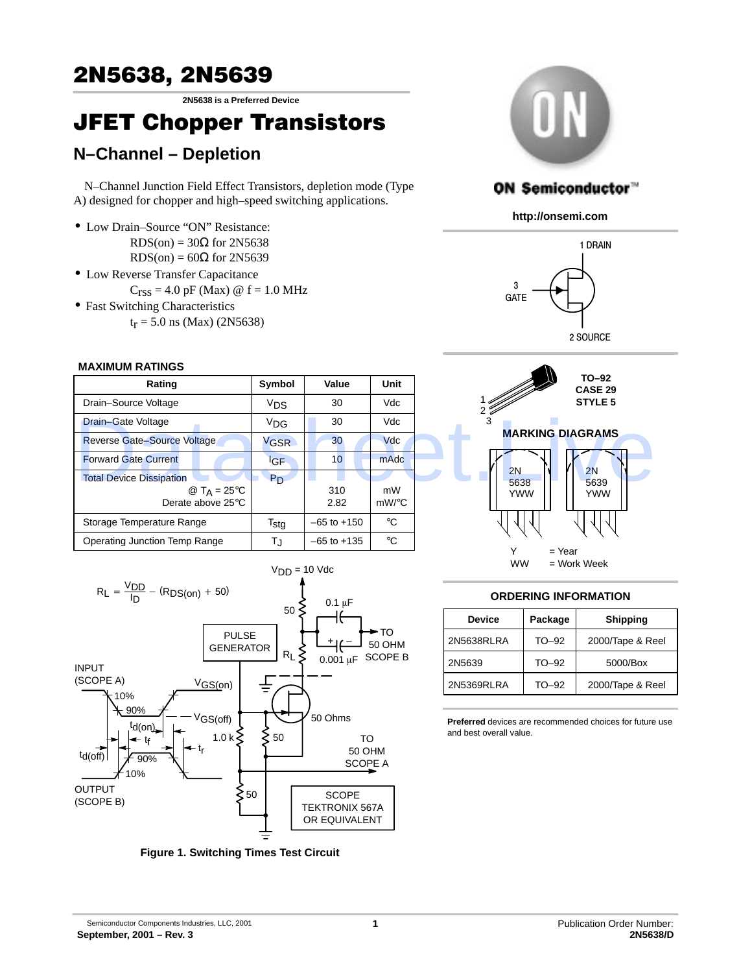# 2N5638, 2N5639

**2N5638 is a Preferred Device**

# JFET Chopper Transistors

# **N–Channel – Depletion**

N–Channel Junction Field Effect Transistors, depletion mode (Type A) designed for chopper and high–speed switching applications.

- Low Drain–Source "ON" Resistance:  $RDS(on) = 30\Omega$  for 2N5638  $RDS(on) = 60\Omega$  for 2N5639
- Low Reverse Transfer Capacitance
	- $C_{\text{rss}} = 4.0 \text{ pF (Max)} \text{ @ f} = 1.0 \text{ MHz}$
- Fast Switching Characteristics
	- $t_r = 5.0$  ns (Max) (2N5638)

#### **MAXIMUM RATINGS**

| Rating                                                                           | Symbol           | Value           | <b>Unit</b>    |
|----------------------------------------------------------------------------------|------------------|-----------------|----------------|
| Drain-Source Voltage                                                             | V <sub>DS</sub>  | 30              | Vdc            |
| Drain-Gate Voltage                                                               | <sup>V</sup> DG  | 30              | Vdc            |
| Reverse Gate-Source Voltage                                                      | V <sub>GSR</sub> | 30              | <b>Vdc</b>     |
| <b>Forward Gate Current</b>                                                      | <sup>I</sup> GF  | 10 <sup>°</sup> | mAdc           |
| <b>Total Device Dissipation</b><br>@ T <sub>A</sub> = 25 °C<br>Derate above 25°C | P <sub>D</sub>   | 310<br>2.82     | mW<br>$mW$ /°C |
| Storage Temperature Range                                                        | $T_{\text{stg}}$ | $-65$ to $+150$ | $^{\circ}C$    |
| Operating Junction Temp Range                                                    | TJ               | $-65$ to $+135$ | $^{\circ}C$    |



**Figure 1. Switching Times Test Circuit**



## ON Semiconductor™

**http://onsemi.com**





### **ORDERING INFORMATION**

| <b>Device</b> | Package | <b>Shipping</b>  |  |  |  |  |
|---------------|---------|------------------|--|--|--|--|
| 2N5638RLRA    | $TO-92$ | 2000/Tape & Reel |  |  |  |  |
| 2N5639        | $TO-92$ | 5000/Box         |  |  |  |  |
| 2N5369RLRA    | TO-92   | 2000/Tape & Reel |  |  |  |  |

**Preferred** devices are recommended choices for future use and best overall value.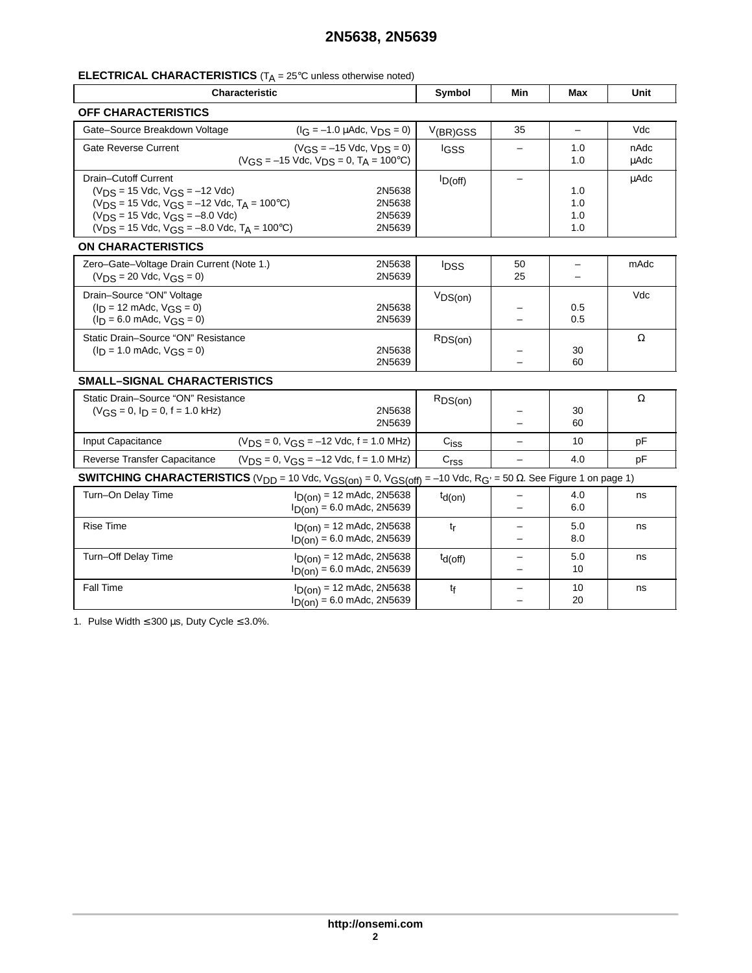# **2N5638, 2N5639**

## **ELECTRICAL CHARACTERISTICS** (T<sub>A</sub> = 25°C unless otherwise noted)

| <b>Characteristic</b>                                                                                                                                                                                                              | Symbol                                                                                     | Min                       | Max                           | Unit                                 |                     |  |  |  |  |
|------------------------------------------------------------------------------------------------------------------------------------------------------------------------------------------------------------------------------------|--------------------------------------------------------------------------------------------|---------------------------|-------------------------------|--------------------------------------|---------------------|--|--|--|--|
| <b>OFF CHARACTERISTICS</b>                                                                                                                                                                                                         |                                                                                            |                           |                               |                                      |                     |  |  |  |  |
| Gate-Source Breakdown Voltage                                                                                                                                                                                                      | $(I_G = -1.0 \mu A d c, V_{DS} = 0)$                                                       | V(BR)GSS                  | 35                            | $\equiv$                             | Vdc                 |  |  |  |  |
| <b>Gate Reverse Current</b>                                                                                                                                                                                                        | $(V_{GS} = -15$ Vdc, $V_{DS} = 0$ )<br>$(V_{GS} = -15$ Vdc, $V_{DS} = 0$ , $T_A = 100$ °C) | <b>IGSS</b>               |                               | 1.0<br>1.0                           | nAdc<br><b>uAdc</b> |  |  |  |  |
| Drain-Cutoff Current<br>$(V_{DS} = 15$ Vdc, $V_{GS} = -12$ Vdc)<br>$(V_{DS} = 15$ Vdc, $V_{GS} = -12$ Vdc, $T_A = 100$ °C)<br>$(V_{DS} = 15$ Vdc, $V_{GS} = -8.0$ Vdc)<br>$(V_{DS} = 15$ Vdc, $V_{GS} = -8.0$ Vdc, $T_A = 100$ °C) | 2N5638<br>2N5638<br>2N5639<br>2N5639                                                       | $I_{D(off)}$              |                               | 1.0<br>1.0<br>1.0<br>1.0             | <b>µAdc</b>         |  |  |  |  |
| <b>ON CHARACTERISTICS</b>                                                                                                                                                                                                          |                                                                                            |                           |                               |                                      |                     |  |  |  |  |
| Zero-Gate-Voltage Drain Current (Note 1.)<br>$(V_{DS} = 20$ Vdc, $V_{GS} = 0$ )                                                                                                                                                    | 2N5638<br>2N5639                                                                           | <b>IDSS</b>               | 50<br>25                      | $\overline{\phantom{0}}$<br>$\equiv$ | mAdc                |  |  |  |  |
| Drain-Source "ON" Voltage<br>$(I_D = 12 \text{ m}$ Adc, $V_{GS} = 0$ )<br>$(I_D = 6.0$ mAdc, $V_{GS} = 0$ )                                                                                                                        | 2N5638<br>2N5639                                                                           | VDS(on)                   | $\overline{\phantom{0}}$      | 0.5<br>0.5                           | Vdc                 |  |  |  |  |
| Static Drain-Source "ON" Resistance<br>$(I_D = 1.0$ mAdc, $V_{GS} = 0$ )                                                                                                                                                           | 2N5638<br>2N5639                                                                           | RDS(on)                   |                               | 30<br>60                             | Ω                   |  |  |  |  |
| <b>SMALL-SIGNAL CHARACTERISTICS</b>                                                                                                                                                                                                |                                                                                            |                           |                               |                                      |                     |  |  |  |  |
| Static Drain-Source "ON" Resistance<br>$(V_{GS} = 0, I_D = 0, f = 1.0$ kHz)                                                                                                                                                        | 2N5638<br>2N5639                                                                           | RDS(on)                   | ▃                             | 30<br>60                             | Ω                   |  |  |  |  |
| Input Capacitance                                                                                                                                                                                                                  | $(VDS = 0, VGS = -12$ Vdc, f = 1.0 MHz)                                                    | $\mathrm{C}_{\text{ISS}}$ |                               | 10                                   | pF                  |  |  |  |  |
| Reverse Transfer Capacitance                                                                                                                                                                                                       | $(V_{DS} = 0, V_{GS} = -12$ Vdc, f = 1.0 MHz)                                              | C <sub>rss</sub>          | $\overline{\phantom{0}}$      | 4.0                                  | pF                  |  |  |  |  |
| <b>SWITCHING CHARACTERISTICS</b> (V <sub>DD</sub> = 10 Vdc, V <sub>GS(on)</sub> = 0, V <sub>GS(off)</sub> = -10 Vdc, R <sub>G'</sub> = 50 $\Omega$ . See Figure 1 on page 1)                                                       |                                                                                            |                           |                               |                                      |                     |  |  |  |  |
| Turn-On Delay Time                                                                                                                                                                                                                 | $I_{D(0n)}$ = 12 mAdc, 2N5638<br>$I_D(0n) = 6.0$ mAdc, 2N5639                              | $t_{d(on)}$               | $\overline{\phantom{0}}$      | 4.0<br>6.0                           | ns                  |  |  |  |  |
| <b>Rise Time</b>                                                                                                                                                                                                                   | $I_{D(0n)}$ = 12 mAdc, 2N5638<br>$I_D($ on) = 6.0 mAdc, 2N5639                             | $t_{r}$                   | L,                            | 5.0<br>8.0                           | ns                  |  |  |  |  |
| Turn-Off Delay Time                                                                                                                                                                                                                | $I_{D(0n)}$ = 12 mAdc, 2N5638<br>$I_D($ on) = 6.0 mAdc, 2N5639                             | $td(off)$                 | -<br>$\overline{\phantom{0}}$ | 5.0<br>10                            | ns                  |  |  |  |  |
| Fall Time                                                                                                                                                                                                                          | $I_{D(0n)}$ = 12 mAdc, 2N5638<br>$I_D($ on) = 6.0 mAdc, 2N5639                             | tf                        |                               | 10<br>20                             | ns                  |  |  |  |  |

1. Pulse Width  $\leq 300 \,\mu s$ , Duty Cycle  $\leq 3.0\%$ .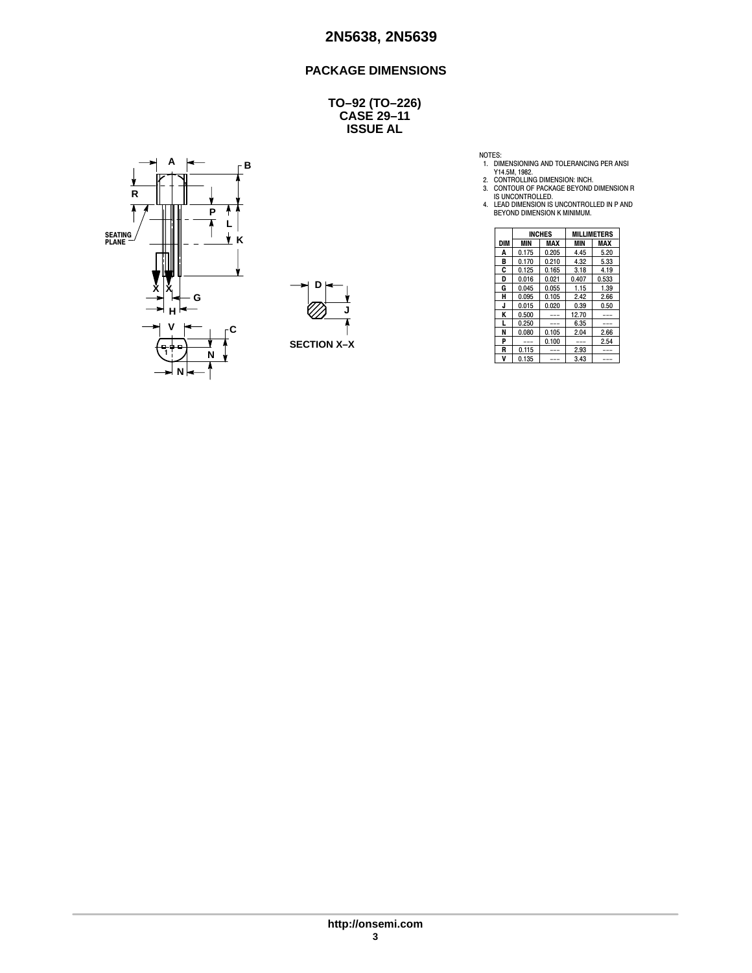### **PACKAGE DIMENSIONS**

**CASE 29–11 ISSUE AL TO–92 (TO–226)**





- 
- 

NOTES:<br>
1. DIMENSIONING AND TOLERANCING PER ANSI<br>
Y14.5M, 1982.<br>
2. CONTROLLING DIMENSION: INCH.<br>
3. CONTOUR OF PACKAGE BEYOND DIMENSION R<br>
1. LEAD DIMENSION IS UNCONTROLLED IN P AND<br>
4. LEAD DIMENSION IS UNCONTROLLED IN P

| Ш                  |            | <b>INCHES</b> |            | <b>MILLIMETERS</b> |               |
|--------------------|------------|---------------|------------|--------------------|---------------|
| Κ                  | <b>DIM</b> | MIN           | <b>MAX</b> | MIN                | <b>MAX</b>    |
|                    | А          | 0.175         | 0.205      | 4.45               | 5.20          |
| 1                  | в          | 0.170         | 0.210      | 4.32               | 5.33          |
|                    | C          | 0.125         | 0.165      | 3.18               | 4.19          |
|                    | D          | 0.016         | 0.021      | 0.407              | 0.533         |
| Đ<br>v<br>⋏        | G          | 0.045         | 0.055      | 1.15               | 1.39          |
| G                  | н          | 0.095         | 0.105      | 2.42               | 2.66          |
|                    | e.         | 0.015         | 0.020      | 0.39               | 0.50          |
| H١                 | Κ          | 0.500         | $---$      | 12.70              | $\frac{1}{2}$ |
| v                  |            | 0.250         | $- - -$    | 6.35               | $\frac{1}{2}$ |
|                    | N          | 0.080         | 0.105      | 2.04               | 2.66          |
| <b>SECTION X-X</b> | P          | $- - -$       | 0.100      | $\frac{1}{2}$      | 2.54          |
| -0-0-<br>N         | R          | 0.115         | $---$      | 2.93               | $- - -$       |
|                    |            | 0.135         | $- - -$    | 3.43               | ---           |